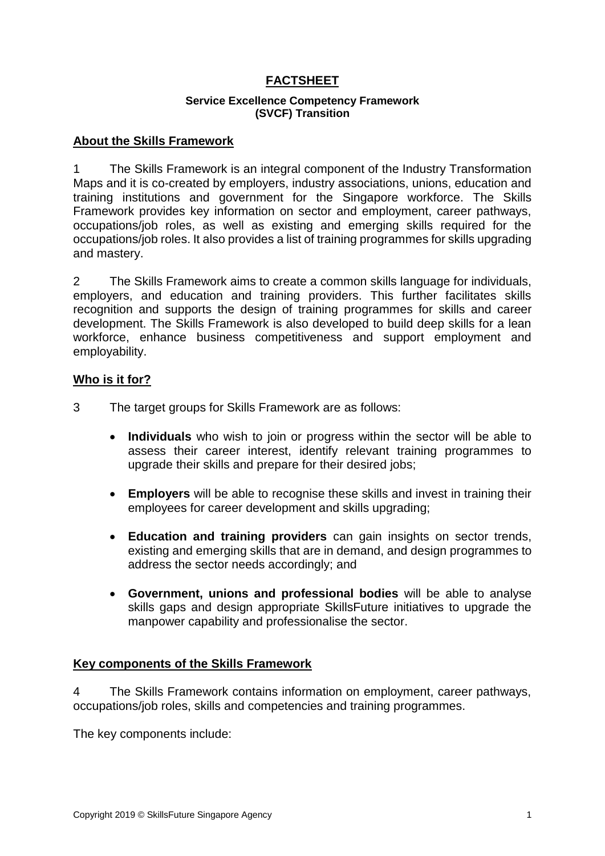## **FACTSHEET**

#### **Service Excellence Competency Framework (SVCF) Transition**

#### **About the Skills Framework**

1 The Skills Framework is an integral component of the Industry Transformation Maps and it is co-created by employers, industry associations, unions, education and training institutions and government for the Singapore workforce. The Skills Framework provides key information on sector and employment, career pathways, occupations/job roles, as well as existing and emerging skills required for the occupations/job roles. It also provides a list of training programmes for skills upgrading and mastery.

2 The Skills Framework aims to create a common skills language for individuals, employers, and education and training providers. This further facilitates skills recognition and supports the design of training programmes for skills and career development. The Skills Framework is also developed to build deep skills for a lean workforce, enhance business competitiveness and support employment and employability.

#### **Who is it for?**

- 3 The target groups for Skills Framework are as follows:
	- **Individuals** who wish to join or progress within the sector will be able to assess their career interest, identify relevant training programmes to upgrade their skills and prepare for their desired jobs;
	- **Employers** will be able to recognise these skills and invest in training their employees for career development and skills upgrading;
	- **Education and training providers** can gain insights on sector trends, existing and emerging skills that are in demand, and design programmes to address the sector needs accordingly; and
	- **Government, unions and professional bodies** will be able to analyse skills gaps and design appropriate SkillsFuture initiatives to upgrade the manpower capability and professionalise the sector.

#### **Key components of the Skills Framework**

4 The Skills Framework contains information on employment, career pathways, occupations/job roles, skills and competencies and training programmes.

The key components include: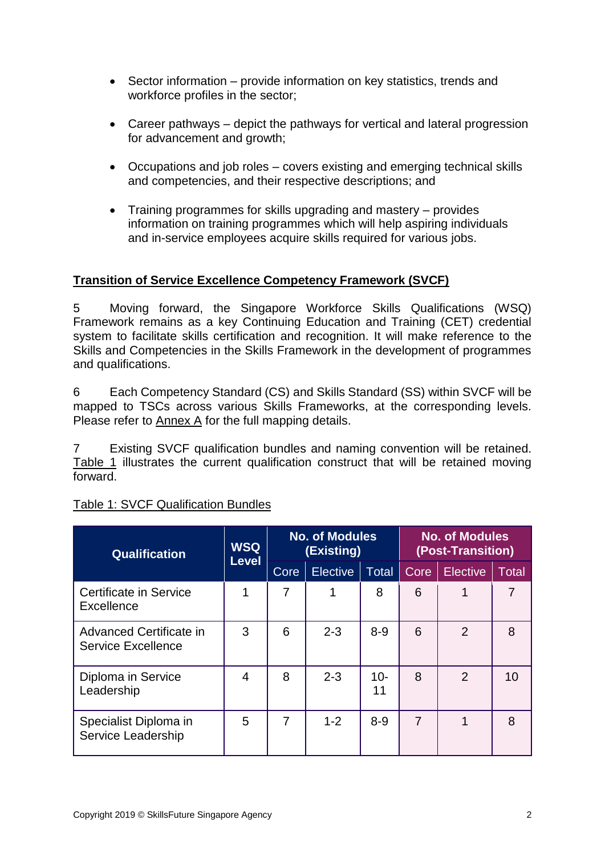- Sector information provide information on key statistics, trends and workforce profiles in the sector;
- Career pathways depict the pathways for vertical and lateral progression for advancement and growth;
- Occupations and job roles covers existing and emerging technical skills and competencies, and their respective descriptions; and
- Training programmes for skills upgrading and mastery provides information on training programmes which will help aspiring individuals and in-service employees acquire skills required for various jobs.

# **Transition of Service Excellence Competency Framework (SVCF)**

5 Moving forward, the Singapore Workforce Skills Qualifications (WSQ) Framework remains as a key Continuing Education and Training (CET) credential system to facilitate skills certification and recognition. It will make reference to the Skills and Competencies in the Skills Framework in the development of programmes and qualifications.

6 Each Competency Standard (CS) and Skills Standard (SS) within SVCF will be mapped to TSCs across various Skills Frameworks, at the corresponding levels. Please refer to Annex A for the full mapping details.

7 Existing SVCF qualification bundles and naming convention will be retained. Table 1 illustrates the current qualification construct that will be retained moving forward.

| <b>Qualification</b>                                 | <b>WSQ</b>   | <b>No. of Modules</b><br>(Existing) |          |              | <b>No. of Modules</b><br>(Post-Transition) |                 |                |
|------------------------------------------------------|--------------|-------------------------------------|----------|--------------|--------------------------------------------|-----------------|----------------|
|                                                      | <b>Level</b> | Core                                | Elective | Total        | Core                                       | <b>Elective</b> | Total          |
| Certificate in Service<br>Excellence                 | 1            | 7                                   | 1        | 8            | 6                                          | 1               | $\overline{7}$ |
| Advanced Certificate in<br><b>Service Excellence</b> | 3            | 6                                   | $2 - 3$  | $8 - 9$      | 6                                          | $\overline{2}$  | 8              |
| Diploma in Service<br>Leadership                     | 4            | 8                                   | $2 - 3$  | $10 -$<br>11 | 8                                          | 2               | 10             |
| Specialist Diploma in<br>Service Leadership          | 5            | 7                                   | $1 - 2$  | $8 - 9$      | 7                                          | 1               | 8              |

## Table 1: SVCF Qualification Bundles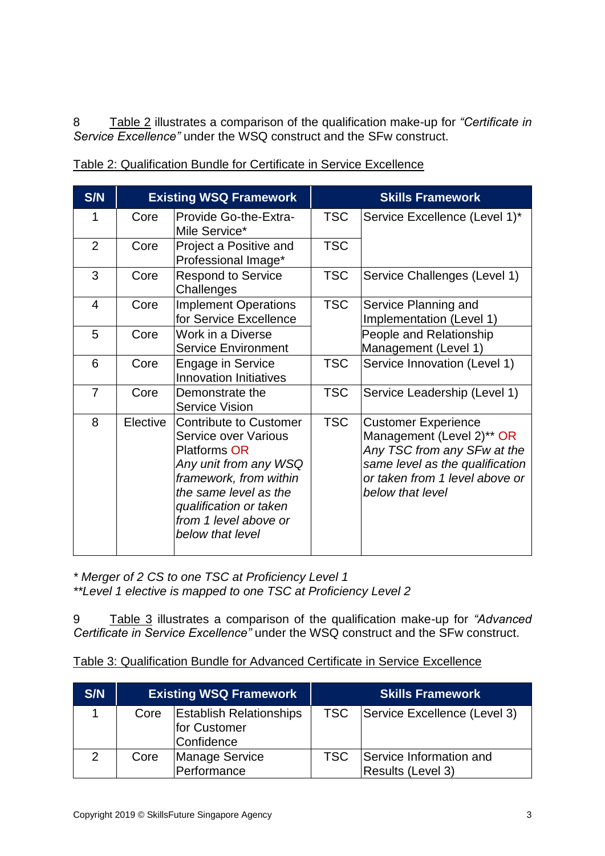8 Table 2 illustrates a comparison of the qualification make-up for *"Certificate in Service Excellence"* under the WSQ construct and the SFw construct.

| S/N            |          | <b>Existing WSQ Framework</b>                                                                                                                                                                                                          |            | <b>Skills Framework</b>                                                                                                                                                         |
|----------------|----------|----------------------------------------------------------------------------------------------------------------------------------------------------------------------------------------------------------------------------------------|------------|---------------------------------------------------------------------------------------------------------------------------------------------------------------------------------|
| 1              | Core     | Provide Go-the-Extra-<br>Mile Service*                                                                                                                                                                                                 | <b>TSC</b> | Service Excellence (Level 1)*                                                                                                                                                   |
| $\overline{2}$ | Core     | Project a Positive and<br>Professional Image*                                                                                                                                                                                          | <b>TSC</b> |                                                                                                                                                                                 |
| 3              | Core     | <b>Respond to Service</b><br>Challenges                                                                                                                                                                                                | <b>TSC</b> | Service Challenges (Level 1)                                                                                                                                                    |
| $\overline{4}$ | Core     | <b>Implement Operations</b><br>for Service Excellence                                                                                                                                                                                  | <b>TSC</b> | Service Planning and<br>Implementation (Level 1)                                                                                                                                |
| 5              | Core     | Work in a Diverse<br><b>Service Environment</b>                                                                                                                                                                                        |            | People and Relationship<br>Management (Level 1)                                                                                                                                 |
| 6              | Core     | <b>Engage in Service</b><br><b>Innovation Initiatives</b>                                                                                                                                                                              | <b>TSC</b> | Service Innovation (Level 1)                                                                                                                                                    |
| $\overline{7}$ | Core     | Demonstrate the<br><b>Service Vision</b>                                                                                                                                                                                               | <b>TSC</b> | Service Leadership (Level 1)                                                                                                                                                    |
| 8              | Elective | <b>Contribute to Customer</b><br><b>Service over Various</b><br><b>Platforms OR</b><br>Any unit from any WSQ<br>framework, from within<br>the same level as the<br>qualification or taken<br>from 1 level above or<br>below that level | <b>TSC</b> | <b>Customer Experience</b><br>Management (Level 2)** OR<br>Any TSC from any SFw at the<br>same level as the qualification<br>or taken from 1 level above or<br>below that level |

| Table 2: Qualification Bundle for Certificate in Service Excellence |  |  |
|---------------------------------------------------------------------|--|--|

*\* Merger of 2 CS to one TSC at Proficiency Level 1*

*\*\*Level 1 elective is mapped to one TSC at Proficiency Level 2*

9 Table 3 illustrates a comparison of the qualification make-up for *"Advanced Certificate in Service Excellence"* under the WSQ construct and the SFw construct.

| Table 3: Qualification Bundle for Advanced Certificate in Service Excellence |  |
|------------------------------------------------------------------------------|--|
|------------------------------------------------------------------------------|--|

| S/N           | <b>Existing WSQ Framework</b> |                                                              | <b>Skills Framework</b> |                                              |
|---------------|-------------------------------|--------------------------------------------------------------|-------------------------|----------------------------------------------|
|               | Core                          | <b>Establish Relationships</b><br>for Customer<br>Confidence | <b>TSC</b>              | Service Excellence (Level 3)                 |
| $\mathcal{P}$ | Core                          | <b>Manage Service</b><br>Performance                         | <b>TSC</b>              | Service Information and<br>Results (Level 3) |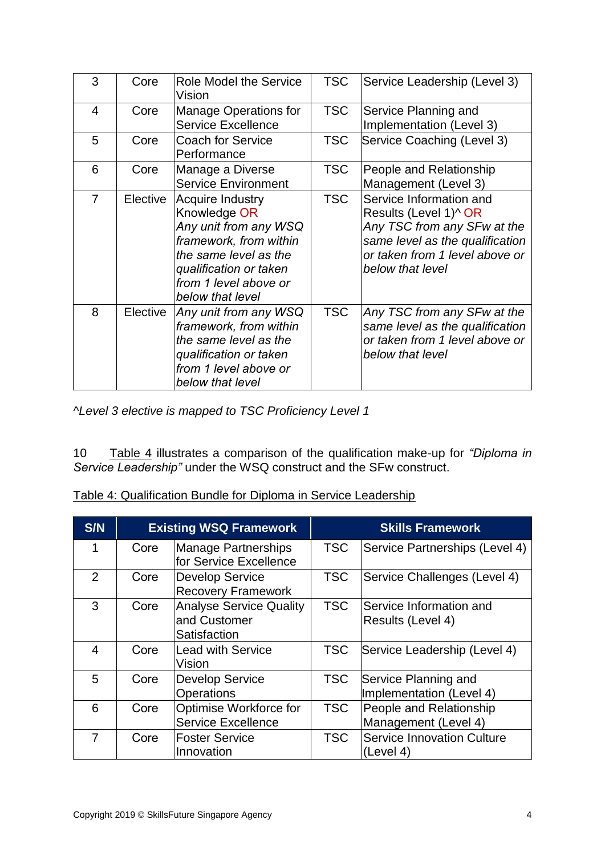| 3                       | Core     | <b>Role Model the Service</b><br>Vision                                                                                                                                             | <b>TSC</b> | Service Leadership (Level 3)                                                                                                                                                         |
|-------------------------|----------|-------------------------------------------------------------------------------------------------------------------------------------------------------------------------------------|------------|--------------------------------------------------------------------------------------------------------------------------------------------------------------------------------------|
| $\overline{\mathbf{4}}$ | Core     | <b>Manage Operations for</b><br><b>Service Excellence</b>                                                                                                                           | <b>TSC</b> | Service Planning and<br>Implementation (Level 3)                                                                                                                                     |
| 5                       | Core     | <b>Coach for Service</b><br>Performance                                                                                                                                             | <b>TSC</b> | Service Coaching (Level 3)                                                                                                                                                           |
| 6                       | Core     | Manage a Diverse<br><b>Service Environment</b>                                                                                                                                      | <b>TSC</b> | People and Relationship<br>Management (Level 3)                                                                                                                                      |
| $\overline{7}$          | Elective | Acquire Industry<br>Knowledge OR<br>Any unit from any WSQ<br>framework, from within<br>the same level as the<br>qualification or taken<br>from 1 level above or<br>below that level | <b>TSC</b> | Service Information and<br>Results (Level 1) <sup>^</sup> OR<br>Any TSC from any SFw at the<br>same level as the qualification<br>or taken from 1 level above or<br>below that level |
| 8                       | Elective | Any unit from any WSQ<br>framework, from within<br>the same level as the<br>qualification or taken<br>from 1 level above or<br>below that level                                     | <b>TSC</b> | Any TSC from any SFw at the<br>same level as the qualification<br>or taken from 1 level above or<br>below that level                                                                 |

*^Level 3 elective is mapped to TSC Proficiency Level 1*

10 Table 4 illustrates a comparison of the qualification make-up for *"Diploma in Service Leadership"* under the WSQ construct and the SFw construct.

| <b>S/N</b>     |      | <b>Existing WSQ Framework</b>                                  |            | <b>Skills Framework</b>                          |
|----------------|------|----------------------------------------------------------------|------------|--------------------------------------------------|
|                | Core | <b>Manage Partnerships</b><br>for Service Excellence           | <b>TSC</b> | Service Partnerships (Level 4)                   |
| $\mathcal{P}$  | Core | <b>Develop Service</b><br><b>Recovery Framework</b>            | <b>TSC</b> | Service Challenges (Level 4)                     |
| 3              | Core | <b>Analyse Service Quality</b><br>and Customer<br>Satisfaction | <b>TSC</b> | Service Information and<br>Results (Level 4)     |
| 4              | Core | <b>Lead with Service</b><br>Vision                             | <b>TSC</b> | Service Leadership (Level 4)                     |
| 5              | Core | <b>Develop Service</b><br>Operations                           | <b>TSC</b> | Service Planning and<br>Implementation (Level 4) |
| 6              | Core | Optimise Workforce for<br><b>Service Excellence</b>            | <b>TSC</b> | People and Relationship<br>Management (Level 4)  |
| $\overline{7}$ | Core | <b>Foster Service</b><br>Innovation                            | <b>TSC</b> | <b>Service Innovation Culture</b><br>(Level 4)   |

Table 4: Qualification Bundle for Diploma in Service Leadership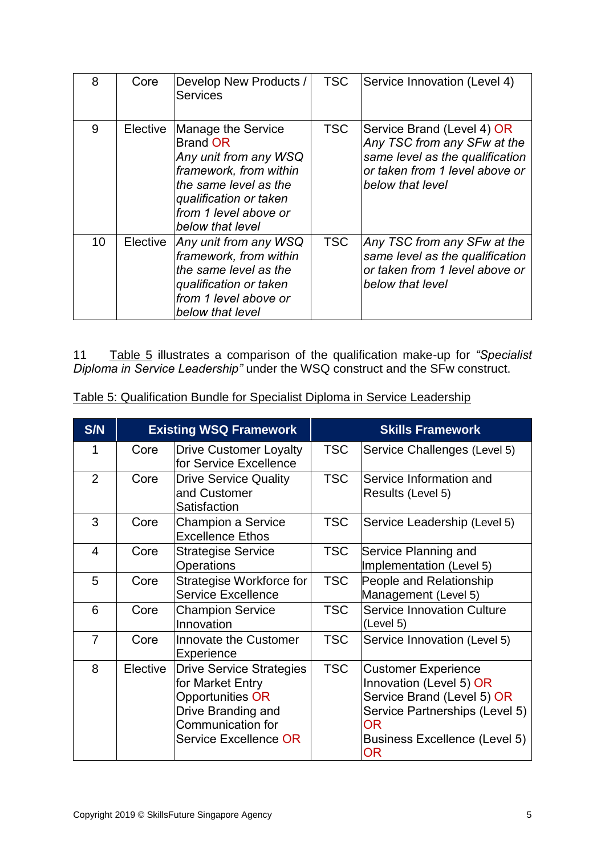| 8  | Core     | Develop New Products /<br><b>Services</b>                                                                                                                                                | <b>TSC</b> | Service Innovation (Level 4)                                                                                                                       |
|----|----------|------------------------------------------------------------------------------------------------------------------------------------------------------------------------------------------|------------|----------------------------------------------------------------------------------------------------------------------------------------------------|
| 9  | Elective | Manage the Service<br><b>Brand OR</b><br>Any unit from any WSQ<br>framework, from within<br>the same level as the<br>qualification or taken<br>from 1 level above or<br>below that level | <b>TSC</b> | Service Brand (Level 4) OR<br>Any TSC from any SFw at the<br>same level as the qualification<br>or taken from 1 level above or<br>below that level |
| 10 | Elective | Any unit from any WSQ<br>framework, from within<br>the same level as the<br>qualification or taken<br>from 1 level above or<br>below that level                                          | <b>TSC</b> | Any TSC from any SFw at the<br>same level as the qualification<br>or taken from 1 level above or<br>below that level                               |

11 Table 5 illustrates a comparison of the qualification make-up for *"Specialist Diploma in Service Leadership"* under the WSQ construct and the SFw construct.

| S/N            |          | <b>Existing WSQ Framework</b>                                                                                                                      |            | <b>Skills Framework</b>                                                                                                                                                                 |
|----------------|----------|----------------------------------------------------------------------------------------------------------------------------------------------------|------------|-----------------------------------------------------------------------------------------------------------------------------------------------------------------------------------------|
| 1              | Core     | <b>Drive Customer Loyalty</b><br>for Service Excellence                                                                                            | <b>TSC</b> | Service Challenges (Level 5)                                                                                                                                                            |
| $\overline{2}$ | Core     | <b>Drive Service Quality</b><br>and Customer<br>Satisfaction                                                                                       | <b>TSC</b> | Service Information and<br>Results (Level 5)                                                                                                                                            |
| 3              | Core     | <b>Champion a Service</b><br><b>Excellence Ethos</b>                                                                                               | <b>TSC</b> | Service Leadership (Level 5)                                                                                                                                                            |
| $\overline{4}$ | Core     | <b>Strategise Service</b><br><b>Operations</b>                                                                                                     | <b>TSC</b> | Service Planning and<br>Implementation (Level 5)                                                                                                                                        |
| 5              | Core     | Strategise Workforce for<br><b>Service Excellence</b>                                                                                              | <b>TSC</b> | People and Relationship<br>Management (Level 5)                                                                                                                                         |
| 6              | Core     | <b>Champion Service</b><br>Innovation                                                                                                              | <b>TSC</b> | <b>Service Innovation Culture</b><br>(Level 5)                                                                                                                                          |
| $\overline{7}$ | Core     | Innovate the Customer<br>Experience                                                                                                                | <b>TSC</b> | Service Innovation (Level 5)                                                                                                                                                            |
| 8              | Elective | <b>Drive Service Strategies</b><br>for Market Entry<br>Opportunities OR<br>Drive Branding and<br><b>Communication for</b><br>Service Excellence OR | <b>TSC</b> | <b>Customer Experience</b><br>Innovation (Level 5) OR<br>Service Brand (Level 5) OR<br>Service Partnerships (Level 5)<br><b>OR</b><br><b>Business Excellence (Level 5)</b><br><b>OR</b> |

Table 5: Qualification Bundle for Specialist Diploma in Service Leadership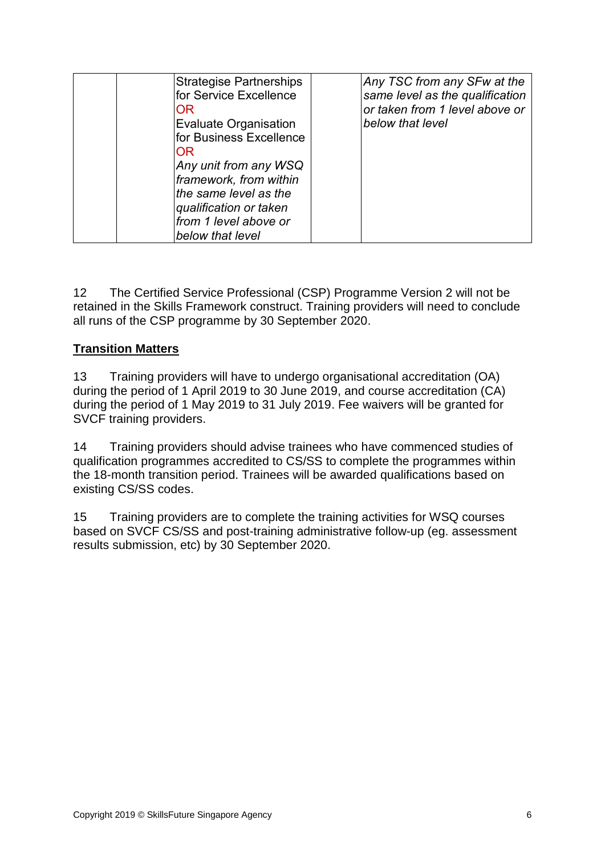| <b>Strategise Partnerships</b><br>for Service Excellence<br>OR<br><b>Evaluate Organisation</b><br>lfor Business Excellence<br>OR<br>Any unit from any WSQ<br>framework, from within | Any TSC from any SFw at the<br>same level as the qualification<br>or taken from 1 level above or<br>below that level |
|-------------------------------------------------------------------------------------------------------------------------------------------------------------------------------------|----------------------------------------------------------------------------------------------------------------------|
| the same level as the<br>qualification or taken<br>from 1 level above or<br>below that level                                                                                        |                                                                                                                      |

12 The Certified Service Professional (CSP) Programme Version 2 will not be retained in the Skills Framework construct. Training providers will need to conclude all runs of the CSP programme by 30 September 2020.

## **Transition Matters**

13 Training providers will have to undergo organisational accreditation (OA) during the period of 1 April 2019 to 30 June 2019, and course accreditation (CA) during the period of 1 May 2019 to 31 July 2019. Fee waivers will be granted for SVCF training providers.

14 Training providers should advise trainees who have commenced studies of qualification programmes accredited to CS/SS to complete the programmes within the 18-month transition period. Trainees will be awarded qualifications based on existing CS/SS codes.

15 Training providers are to complete the training activities for WSQ courses based on SVCF CS/SS and post-training administrative follow-up (eg. assessment results submission, etc) by 30 September 2020.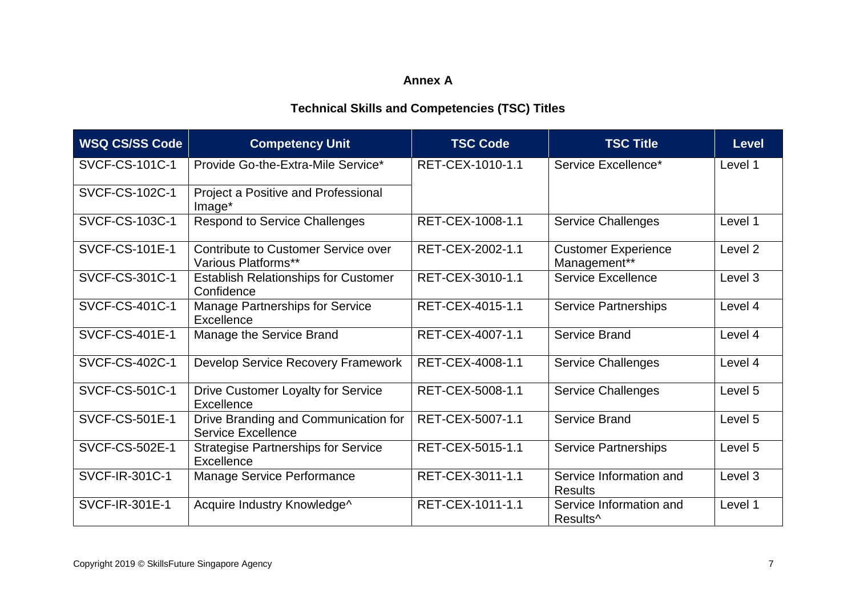# **Annex A**

# **Technical Skills and Competencies (TSC) Titles**

| <b>WSQ CS/SS Code</b> | <b>Competency Unit</b>                                            | <b>TSC Code</b>  | <b>TSC Title</b>                                | <b>Level</b> |
|-----------------------|-------------------------------------------------------------------|------------------|-------------------------------------------------|--------------|
| SVCF-CS-101C-1        | Provide Go-the-Extra-Mile Service*                                | RET-CEX-1010-1.1 | Service Excellence*                             | Level 1      |
| SVCF-CS-102C-1        | Project a Positive and Professional<br>Image <sup>*</sup>         |                  |                                                 |              |
| <b>SVCF-CS-103C-1</b> | <b>Respond to Service Challenges</b>                              | RET-CEX-1008-1.1 | <b>Service Challenges</b>                       | Level 1      |
| <b>SVCF-CS-101E-1</b> | Contribute to Customer Service over<br>Various Platforms**        | RET-CEX-2002-1.1 | <b>Customer Experience</b><br>Management**      | Level 2      |
| SVCF-CS-301C-1        | <b>Establish Relationships for Customer</b><br>Confidence         | RET-CEX-3010-1.1 | <b>Service Excellence</b>                       | Level 3      |
| SVCF-CS-401C-1        | <b>Manage Partnerships for Service</b><br><b>Excellence</b>       | RET-CEX-4015-1.1 | <b>Service Partnerships</b>                     | Level 4      |
| <b>SVCF-CS-401E-1</b> | Manage the Service Brand                                          | RET-CEX-4007-1.1 | <b>Service Brand</b>                            | Level 4      |
| <b>SVCF-CS-402C-1</b> | Develop Service Recovery Framework                                | RET-CEX-4008-1.1 | <b>Service Challenges</b>                       | Level 4      |
| SVCF-CS-501C-1        | <b>Drive Customer Loyalty for Service</b><br><b>Excellence</b>    | RET-CEX-5008-1.1 | <b>Service Challenges</b>                       | Level 5      |
| <b>SVCF-CS-501E-1</b> | Drive Branding and Communication for<br><b>Service Excellence</b> | RET-CEX-5007-1.1 | Service Brand                                   | Level 5      |
| <b>SVCF-CS-502E-1</b> | <b>Strategise Partnerships for Service</b><br>Excellence          | RET-CEX-5015-1.1 | <b>Service Partnerships</b>                     | Level 5      |
| SVCF-IR-301C-1        | <b>Manage Service Performance</b>                                 | RET-CEX-3011-1.1 | Service Information and<br><b>Results</b>       | Level 3      |
| SVCF-IR-301E-1        | Acquire Industry Knowledge^                                       | RET-CEX-1011-1.1 | Service Information and<br>Results <sup>^</sup> | Level 1      |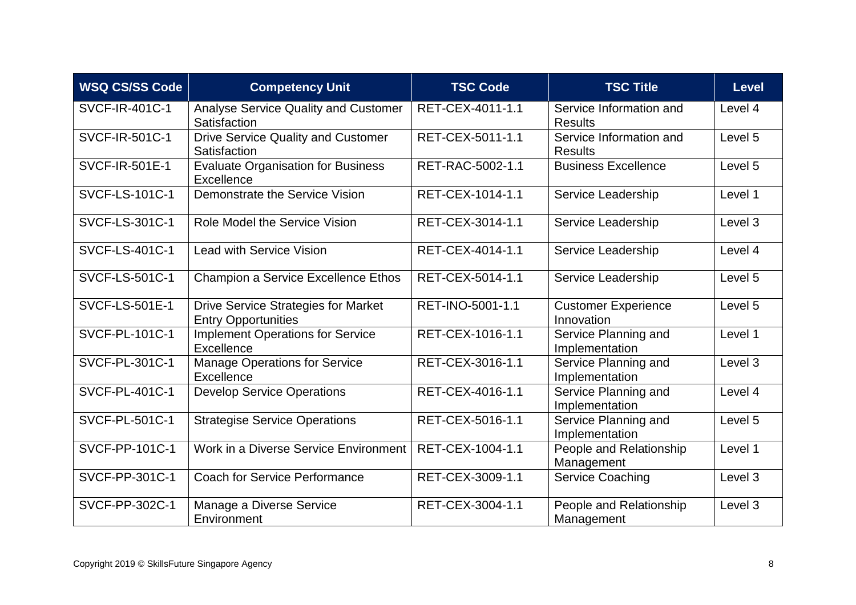| <b>WSQ CS/SS Code</b> | <b>Competency Unit</b>                                                   | <b>TSC Code</b>  | <b>TSC Title</b>                          | <b>Level</b> |
|-----------------------|--------------------------------------------------------------------------|------------------|-------------------------------------------|--------------|
| SVCF-IR-401C-1        | <b>Analyse Service Quality and Customer</b><br>Satisfaction              | RET-CEX-4011-1.1 | Service Information and<br><b>Results</b> | Level 4      |
| SVCF-IR-501C-1        | <b>Drive Service Quality and Customer</b><br>Satisfaction                | RET-CEX-5011-1.1 | Service Information and<br><b>Results</b> | Level 5      |
| <b>SVCF-IR-501E-1</b> | <b>Evaluate Organisation for Business</b><br>Excellence                  | RET-RAC-5002-1.1 | <b>Business Excellence</b>                | Level 5      |
| SVCF-LS-101C-1        | Demonstrate the Service Vision                                           | RET-CEX-1014-1.1 | Service Leadership                        | Level 1      |
| <b>SVCF-LS-301C-1</b> | Role Model the Service Vision                                            | RET-CEX-3014-1.1 | Service Leadership                        | Level 3      |
| <b>SVCF-LS-401C-1</b> | <b>Lead with Service Vision</b>                                          | RET-CEX-4014-1.1 | Service Leadership                        | Level 4      |
| <b>SVCF-LS-501C-1</b> | Champion a Service Excellence Ethos                                      | RET-CEX-5014-1.1 | Service Leadership                        | Level 5      |
| <b>SVCF-LS-501E-1</b> | <b>Drive Service Strategies for Market</b><br><b>Entry Opportunities</b> | RET-INO-5001-1.1 | <b>Customer Experience</b><br>Innovation  | Level 5      |
| <b>SVCF-PL-101C-1</b> | <b>Implement Operations for Service</b><br>Excellence                    | RET-CEX-1016-1.1 | Service Planning and<br>Implementation    | Level 1      |
| SVCF-PL-301C-1        | <b>Manage Operations for Service</b><br>Excellence                       | RET-CEX-3016-1.1 | Service Planning and<br>Implementation    | Level 3      |
| <b>SVCF-PL-401C-1</b> | <b>Develop Service Operations</b>                                        | RET-CEX-4016-1.1 | Service Planning and<br>Implementation    | Level 4      |
| <b>SVCF-PL-501C-1</b> | <b>Strategise Service Operations</b>                                     | RET-CEX-5016-1.1 | Service Planning and<br>Implementation    | Level 5      |
| SVCF-PP-101C-1        | Work in a Diverse Service Environment                                    | RET-CEX-1004-1.1 | People and Relationship<br>Management     | Level 1      |
| SVCF-PP-301C-1        | <b>Coach for Service Performance</b>                                     | RET-CEX-3009-1.1 | <b>Service Coaching</b>                   | Level 3      |
| SVCF-PP-302C-1        | Manage a Diverse Service<br>Environment                                  | RET-CEX-3004-1.1 | People and Relationship<br>Management     | Level 3      |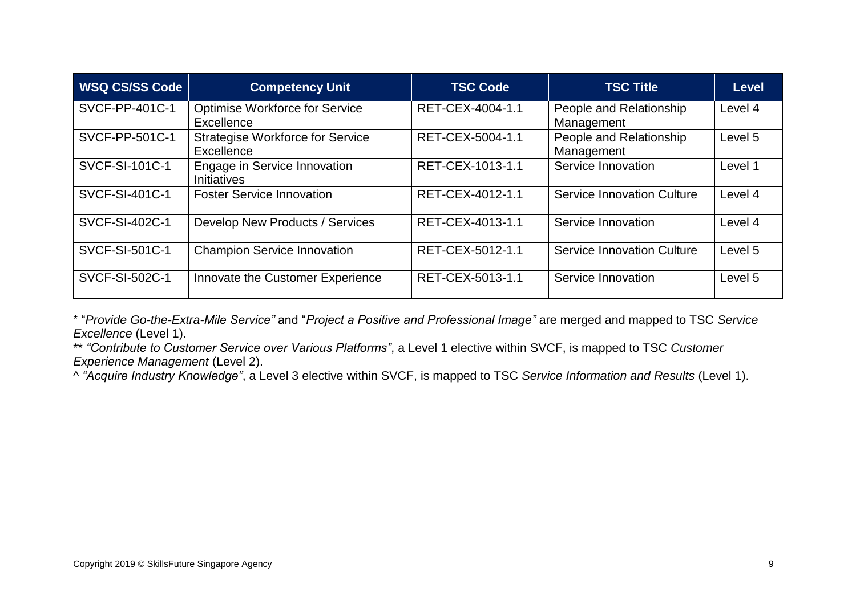| <b>WSQ CS/SS Code</b> | <b>Competency Unit</b>                                | <b>TSC Code</b>  | <b>TSC Title</b>                      | <b>Level</b> |
|-----------------------|-------------------------------------------------------|------------------|---------------------------------------|--------------|
| SVCF-PP-401C-1        | <b>Optimise Workforce for Service</b><br>Excellence   | RET-CEX-4004-1.1 | People and Relationship<br>Management | Level 4      |
| SVCF-PP-501C-1        | <b>Strategise Workforce for Service</b><br>Excellence | RET-CEX-5004-1.1 | People and Relationship<br>Management | Level 5      |
| SVCF-SI-101C-1        | Engage in Service Innovation<br><b>Initiatives</b>    | RET-CEX-1013-1.1 | Service Innovation                    | Level 1      |
| SVCF-SI-401C-1        | <b>Foster Service Innovation</b>                      | RET-CEX-4012-1.1 | <b>Service Innovation Culture</b>     | Level 4      |
| SVCF-SI-402C-1        | Develop New Products / Services                       | RET-CEX-4013-1.1 | Service Innovation                    | Level 4      |
| SVCF-SI-501C-1        | <b>Champion Service Innovation</b>                    | RET-CEX-5012-1.1 | <b>Service Innovation Culture</b>     | Level 5      |
| <b>SVCF-SI-502C-1</b> | Innovate the Customer Experience                      | RET-CEX-5013-1.1 | Service Innovation                    | Level 5      |

\* "*Provide Go-the-Extra-Mile Service"* and "*Project a Positive and Professional Image"* are merged and mapped to TSC *Service Excellence* (Level 1).

\*\* *"Contribute to Customer Service over Various Platforms"*, a Level 1 elective within SVCF, is mapped to TSC *Customer Experience Management* (Level 2).

^ *"Acquire Industry Knowledge"*, a Level 3 elective within SVCF, is mapped to TSC *Service Information and Results* (Level 1).